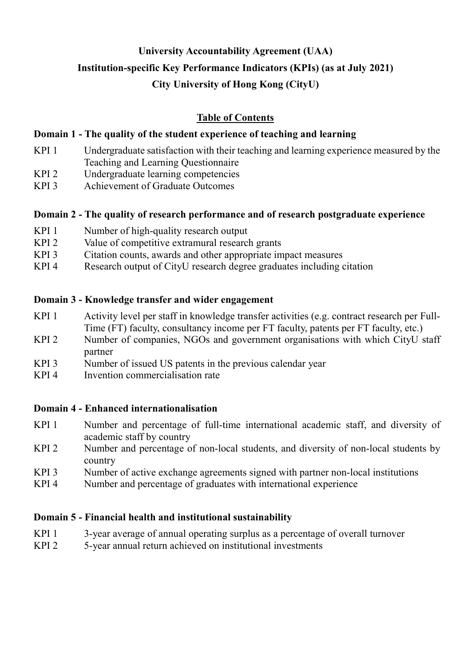# **University Accountability Agreement (UAA) Institution-specific Key Performance Indicators (KPIs) (as at July 2021) City University of Hong Kong (CityU)**

# **Table of Contents**

# **Domain 1 - The quality of the student experience of teaching and learning**

- KPI 1 Undergraduate satisfaction with their teaching and learning experience measured by the Teaching and Learning Questionnaire
- KPI 2 Undergraduate learning competencies
- KPI 3 Achievement of Graduate Outcomes

# **Domain 2 - The quality of research performance and of research postgraduate experience**

- KPI 1 Number of high-quality research output
- KPI 2 Value of competitive extramural research grants
- KPI 3 Citation counts, awards and other appropriate impact measures
- KPI 4 Research output of CityU research degree graduates including citation

# **Domain 3 - Knowledge transfer and wider engagement**

- KPI 1 Activity level per staff in knowledge transfer activities (e.g. contract research per Full-Time (FT) faculty, consultancy income per FT faculty, patents per FT faculty, etc.)
- KPI 2 Number of companies, NGOs and government organisations with which CityU staff partner
- KPI 3 Number of issued US patents in the previous calendar year
- KPI 4 Invention commercialisation rate

# **Domain 4 - Enhanced internationalisation**

- KPI 1 Number and percentage of full-time international academic staff, and diversity of academic staff by country
- KPI 2 Number and percentage of non-local students, and diversity of non-local students by country
- KPI 3 Number of active exchange agreements signed with partner non-local institutions
- KPI 4 Number and percentage of graduates with international experience

# **Domain 5 - Financial health and institutional sustainability**

- KPI 1 3-year average of annual operating surplus as a percentage of overall turnover
- KPI 2 5-year annual return achieved on institutional investments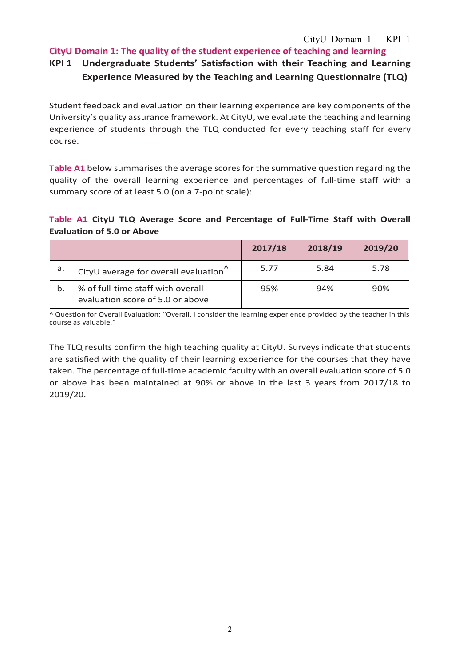#### **CityU Domain 1: The quality of the student experience of teaching and learning**

# **KPI 1 Undergraduate Students' Satisfaction with their Teaching and Learning Experience Measured by the Teaching and Learning Questionnaire (TLQ)**

Student feedback and evaluation on their learning experience are key components of the University's quality assurance framework. At CityU, we evaluate the teaching and learning experience of students through the TLQ conducted for every teaching staff for every course.

**Table A1** below summarises the average scores for the summative question regarding the quality of the overall learning experience and percentages of full-time staff with a summary score of at least 5.0 (on a 7-point scale):

### **Table A1 CityU TLQ Average Score and Percentage of Full-Time Staff with Overall Evaluation of 5.0 or Above**

|    |                                                                       | 2017/18 | 2018/19 | 2019/20 |
|----|-----------------------------------------------------------------------|---------|---------|---------|
| a. | CityU average for overall evaluation                                  | 5.77    | 5.84    | 5.78    |
| b. | % of full-time staff with overall<br>evaluation score of 5.0 or above | 95%     | 94%     | 90%     |

^ Question for Overall Evaluation: "Overall, I consider the learning experience provided by the teacher in this course as valuable."

The TLQ results confirm the high teaching quality at CityU. Surveys indicate that students are satisfied with the quality of their learning experience for the courses that they have taken. The percentage of full-time academic faculty with an overall evaluation score of 5.0 or above has been maintained at 90% or above in the last 3 years from 2017/18 to 2019/20.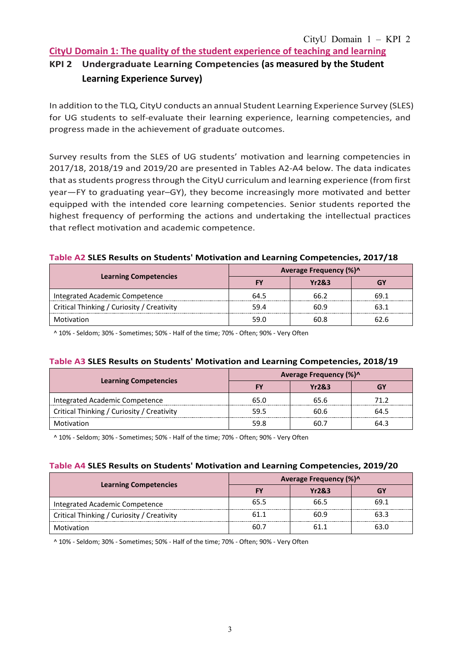### **CityU Domain 1: The quality of the student experience of teaching and learning**

# **KPI 2 Undergraduate Learning Competencies (as measured by the Student Learning Experience Survey)**

In addition to the TLQ, CityU conducts an annual Student Learning Experience Survey (SLES) for UG students to self-evaluate their learning experience, learning competencies, and progress made in the achievement of graduate outcomes.

Survey results from the SLES of UG students' motivation and learning competencies in 2017/18, 2018/19 and 2019/20 are presented in Tables A2-A4 below. The data indicates that as students progress through the CityU curriculum and learning experience (from first year—FY to graduating year–GY), they become increasingly more motivated and better equipped with the intended core learning competencies. Senior students reported the highest frequency of performing the actions and undertaking the intellectual practices that reflect motivation and academic competence.

#### **Table A2 SLES Results on Students' Motivation and Learning Competencies, 2017/18**

|                                            | Average Frequency (%)^ |       |      |  |  |  |
|--------------------------------------------|------------------------|-------|------|--|--|--|
| <b>Learning Competencies</b>               |                        | Yr2&3 |      |  |  |  |
| Integrated Academic Competence             | 64.5                   | 66 2  | 69.1 |  |  |  |
| Critical Thinking / Curiosity / Creativity | 59.4                   | 60.9  | 63.1 |  |  |  |
| Motivation                                 | 59 N                   | 60 X  | 62.6 |  |  |  |

^ 10% - Seldom; 30% - Sometimes; 50% - Half of the time; 70% - Often; 90% - Very Often

#### **Table A3 SLES Results on Students' Motivation and Learning Competencies, 2018/19**

|                                            | Average Frequency (%)^ |       |      |  |  |  |
|--------------------------------------------|------------------------|-------|------|--|--|--|
| <b>Learning Competencies</b>               |                        | Yr2&3 |      |  |  |  |
| Integrated Academic Competence             |                        | 65 6  | 71 J |  |  |  |
| Critical Thinking / Curiosity / Creativity | 59.5                   | 60.6  | 64.5 |  |  |  |
| Motivation                                 |                        |       | 64 R |  |  |  |

^ 10% - Seldom; 30% - Sometimes; 50% - Half of the time; 70% - Often; 90% - Very Often

#### **Table A4 SLES Results on Students' Motivation and Learning Competencies, 2019/20**

|                                            | Average Frequency (%)^ |                  |      |  |  |  |
|--------------------------------------------|------------------------|------------------|------|--|--|--|
| <b>Learning Competencies</b>               |                        | <b>Yr2&amp;3</b> |      |  |  |  |
| Integrated Academic Competence             | 65.5                   | 66.5             | 691  |  |  |  |
| Critical Thinking / Curiosity / Creativity |                        | 60 9             | 63.3 |  |  |  |
| Motivation                                 |                        | 51 1             |      |  |  |  |

^ 10% - Seldom; 30% - Sometimes; 50% - Half of the time; 70% - Often; 90% - Very Often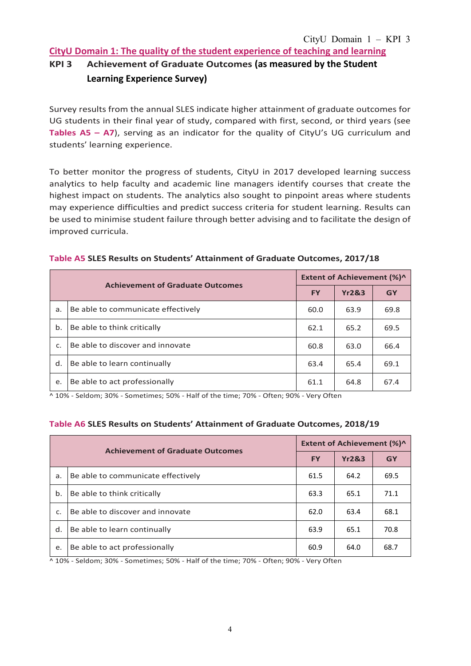**CityU Domain 1: The quality of the student experience of teaching and learning**

# **KPI 3 Achievement of Graduate Outcomes (as measured by the Student Learning Experience Survey)**

Survey results from the annual SLES indicate higher attainment of graduate outcomes for UG students in their final year of study, compared with first, second, or third years (see **Tables A5 – A7**), serving as an indicator for the quality of CityU's UG curriculum and students' learning experience.

To better monitor the progress of students, CityU in 2017 developed learning success analytics to help faculty and academic line managers identify courses that create the highest impact on students. The analytics also sought to pinpoint areas where students may experience difficulties and predict success criteria for student learning. Results can be used to minimise student failure through better advising and to facilitate the design of improved curricula.

|               | <b>Achievement of Graduate Outcomes</b> | <b>Extent of Achievement (%)^</b> |                  |      |  |
|---------------|-----------------------------------------|-----------------------------------|------------------|------|--|
|               |                                         | <b>FY</b>                         | <b>Yr2&amp;3</b> | GY   |  |
| a.            | Be able to communicate effectively      | 60.0                              | 63.9             | 69.8 |  |
| $\mathbf b$ . | Be able to think critically             | 62.1                              | 65.2             | 69.5 |  |
| c.            | Be able to discover and innovate        | 60.8                              | 63.0             | 66.4 |  |
| d.            | Be able to learn continually            | 63.4                              | 65.4             | 69.1 |  |
| e.            | Be able to act professionally           | 61.1                              | 64.8             | 67.4 |  |

#### **Table A5 SLES Results on Students' Attainment of Graduate Outcomes, 2017/18**

 $\sim$  10% - Seldom; 30% - Sometimes; 50% - Half of the time; 70% - Often; 90% - Very Often

#### **Table A6 SLES Results on Students' Attainment of Graduate Outcomes, 2018/19**

|    | <b>Achievement of Graduate Outcomes</b> | <b>Extent of Achievement (%)^</b> |                  |           |  |  |
|----|-----------------------------------------|-----------------------------------|------------------|-----------|--|--|
|    |                                         | <b>FY</b>                         | <b>Yr2&amp;3</b> | <b>GY</b> |  |  |
| a. | Be able to communicate effectively      | 61.5                              | 64.2             | 69.5      |  |  |
| b. | Be able to think critically             | 63.3                              | 65.1             | 71.1      |  |  |
| C. | Be able to discover and innovate        | 62.0                              | 63.4             | 68.1      |  |  |
| d. | Be able to learn continually            | 63.9                              | 65.1             | 70.8      |  |  |
| e. | Be able to act professionally           | 60.9                              | 64.0             | 68.7      |  |  |

^ 10% - Seldom; 30% - Sometimes; 50% - Half of the time; 70% - Often; 90% - Very Often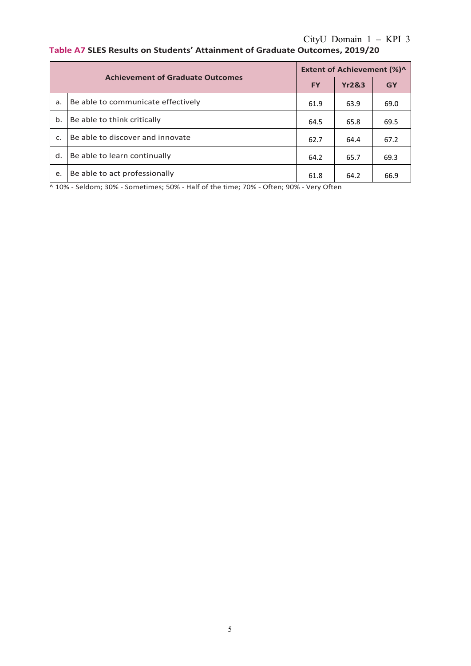# CityU Domain 1 – KPI 3 **Table A7 SLES Results on Students' Attainment of Graduate Outcomes, 2019/20**

|    | <b>Achievement of Graduate Outcomes</b> | <b>Extent of Achievement (%)^</b> |                  |           |  |  |
|----|-----------------------------------------|-----------------------------------|------------------|-----------|--|--|
|    |                                         | <b>FY</b>                         | <b>Yr2&amp;3</b> | <b>GY</b> |  |  |
| a. | Be able to communicate effectively      | 61.9                              | 63.9             | 69.0      |  |  |
| b. | Be able to think critically             | 64.5                              | 65.8             | 69.5      |  |  |
| c. | Be able to discover and innovate        | 62.7                              | 64.4             | 67.2      |  |  |
| d. | Be able to learn continually            | 64.2                              | 65.7             | 69.3      |  |  |
| e. | Be able to act professionally           | 61.8                              | 64.2             | 66.9      |  |  |

^ 10% - Seldom; 30% - Sometimes; 50% - Half of the time; 70% - Often; 90% - Very Often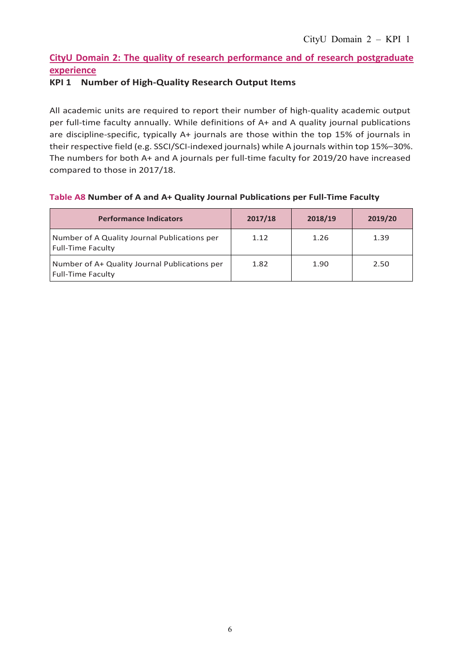# **CityU Domain 2: The quality of research performance and of research postgraduate experience**

## **KPI 1 Number of High-Quality Research Output Items**

All academic units are required to report their number of high-quality academic output per full-time faculty annually. While definitions of A+ and A quality journal publications are discipline-specific, typically A+ journals are those within the top 15% of journals in their respective field (e.g. SSCI/SCI-indexed journals) while A journals within top 15%–30%. The numbers for both A+ and A journals per full-time faculty for 2019/20 have increased compared to those in 2017/18.

#### **Table A8 Number of A and A+ Quality Journal Publications per Full-Time Faculty**

| <b>Performance Indicators</b>                                             | 2017/18 | 2018/19 | 2019/20 |
|---------------------------------------------------------------------------|---------|---------|---------|
| Number of A Quality Journal Publications per<br><b>Full-Time Faculty</b>  | 1.12    | 1.26    | 1.39    |
| Number of A+ Quality Journal Publications per<br><b>Full-Time Faculty</b> | 1.82    | 1.90    | 2.50    |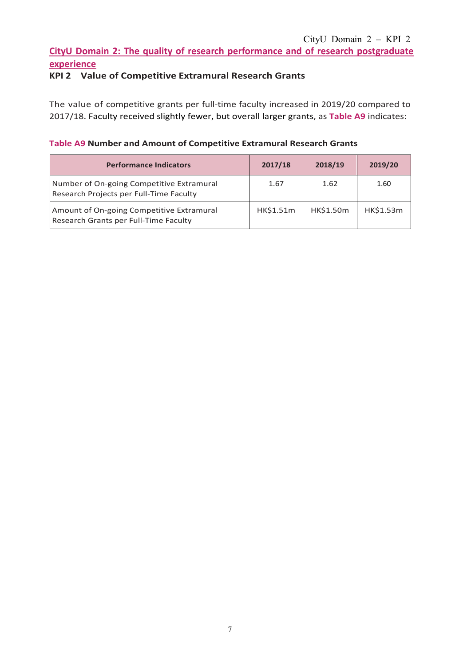# **CityU Domain 2: The quality of research performance and of research postgraduate experience**

# **KPI 2 Value of Competitive Extramural Research Grants**

The value of competitive grants per full-time faculty increased in 2019/20 compared to 2017/18. Faculty received slightly fewer, but overall larger grants, as **Table A9** indicates:

### **Table A9 Number and Amount of Competitive Extramural Research Grants**

| <b>Performance Indicators</b>                                                        | 2017/18   | 2018/19   | 2019/20   |
|--------------------------------------------------------------------------------------|-----------|-----------|-----------|
| Number of On-going Competitive Extramural<br>Research Projects per Full-Time Faculty | 1.67      | 1.62      | 1.60      |
| Amount of On-going Competitive Extramural<br>Research Grants per Full-Time Faculty   | HK\$1.51m | HK\$1.50m | HK\$1.53m |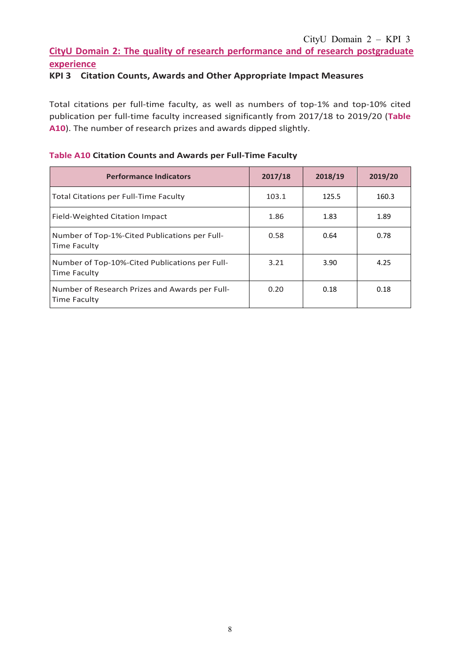### CityU Domain 2 – KPI 3

# **CityU Domain 2: The quality of research performance and of research postgraduate experience**

### **KPI 3 Citation Counts, Awards and Other Appropriate Impact Measures**

Total citations per full-time faculty, as well as numbers of top-1% and top-10% cited publication per full-time faculty increased significantly from 2017/18 to 2019/20 (**Table A10**). The number of research prizes and awards dipped slightly.

| <b>Performance Indicators</b>                                  | 2017/18 | 2018/19 | 2019/20 |
|----------------------------------------------------------------|---------|---------|---------|
| <b>Total Citations per Full-Time Faculty</b>                   | 103.1   | 125.5   | 160.3   |
| Field-Weighted Citation Impact                                 | 1.86    | 1.83    | 1.89    |
| Number of Top-1%-Cited Publications per Full-<br>Time Faculty  | 0.58    | 0.64    | 0.78    |
| Number of Top-10%-Cited Publications per Full-<br>Time Faculty | 3.21    | 3.90    | 4.25    |
| Number of Research Prizes and Awards per Full-<br>Time Faculty | 0.20    | 0.18    | 0.18    |

#### **Table A10 Citation Counts and Awards per Full-Time Faculty**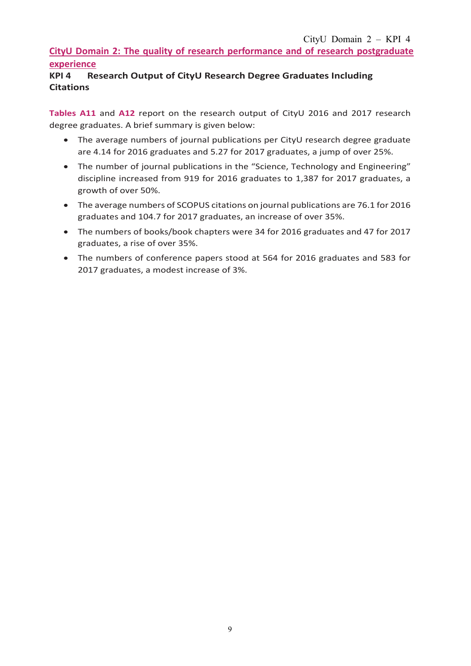# **CityU Domain 2: The quality of research performance and of research postgraduate experience**

# **KPI 4 Research Output of CityU Research Degree Graduates Including Citations**

**Tables A11** and **A12** report on the research output of CityU 2016 and 2017 research degree graduates. A brief summary is given below:

- The average numbers of journal publications per CityU research degree graduate are 4.14 for 2016 graduates and 5.27 for 2017 graduates, a jump of over 25%.
- The number of journal publications in the "Science, Technology and Engineering" discipline increased from 919 for 2016 graduates to 1,387 for 2017 graduates, a growth of over 50%.
- The average numbers of SCOPUS citations on journal publications are 76.1 for 2016 graduates and 104.7 for 2017 graduates, an increase of over 35%.
- The numbers of books/book chapters were 34 for 2016 graduates and 47 for 2017 graduates, a rise of over 35%.
- The numbers of conference papers stood at 564 for 2016 graduates and 583 for 2017 graduates, a modest increase of 3%.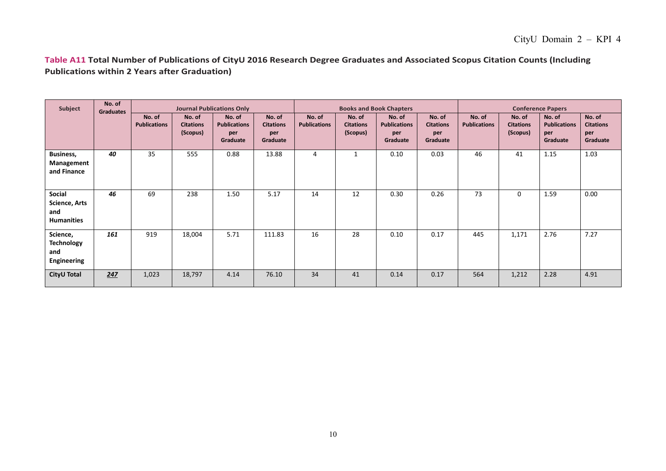**Table A11 Total Number of Publications of CityU 2016 Research Degree Graduates and Associated Scopus Citation Counts (Including Publications within 2 Years after Graduation)**

| Subject                                                    | No. of<br><b>Graduates</b> |                               |                                        | <b>Journal Publications Only</b>                 |                                               |                               | <b>Books and Book Chapters</b>         |                                                  |                                               |                               | <b>Conference Papers</b>               |                                                  |                                               |  |
|------------------------------------------------------------|----------------------------|-------------------------------|----------------------------------------|--------------------------------------------------|-----------------------------------------------|-------------------------------|----------------------------------------|--------------------------------------------------|-----------------------------------------------|-------------------------------|----------------------------------------|--------------------------------------------------|-----------------------------------------------|--|
|                                                            |                            | No. of<br><b>Publications</b> | No. of<br><b>Citations</b><br>(Scopus) | No. of<br><b>Publications</b><br>per<br>Graduate | No. of<br><b>Citations</b><br>per<br>Graduate | No. of<br><b>Publications</b> | No. of<br><b>Citations</b><br>(Scopus) | No. of<br><b>Publications</b><br>per<br>Graduate | No. of<br><b>Citations</b><br>per<br>Graduate | No. of<br><b>Publications</b> | No. of<br><b>Citations</b><br>(Scopus) | No. of<br><b>Publications</b><br>per<br>Graduate | No. of<br><b>Citations</b><br>per<br>Graduate |  |
| <b>Business,</b><br>Management<br>and Finance              | 40                         | 35                            | 555                                    | 0.88                                             | 13.88                                         | 4                             | $\mathbf{1}$                           | 0.10                                             | 0.03                                          | 46                            | 41                                     | 1.15                                             | 1.03                                          |  |
| <b>Social</b><br>Science, Arts<br>and<br><b>Humanities</b> | 46                         | 69                            | 238                                    | 1.50                                             | 5.17                                          | 14                            | 12                                     | 0.30                                             | 0.26                                          | 73                            | 0                                      | 1.59                                             | 0.00                                          |  |
| Science,<br><b>Technology</b><br>and<br>Engineering        | 161                        | 919                           | 18,004                                 | 5.71                                             | 111.83                                        | 16                            | 28                                     | 0.10                                             | 0.17                                          | 445                           | 1,171                                  | 2.76                                             | 7.27                                          |  |
| CityU Total                                                | 247                        | 1,023                         | 18,797                                 | 4.14                                             | 76.10                                         | 34                            | 41                                     | 0.14                                             | 0.17                                          | 564                           | 1,212                                  | 2.28                                             | 4.91                                          |  |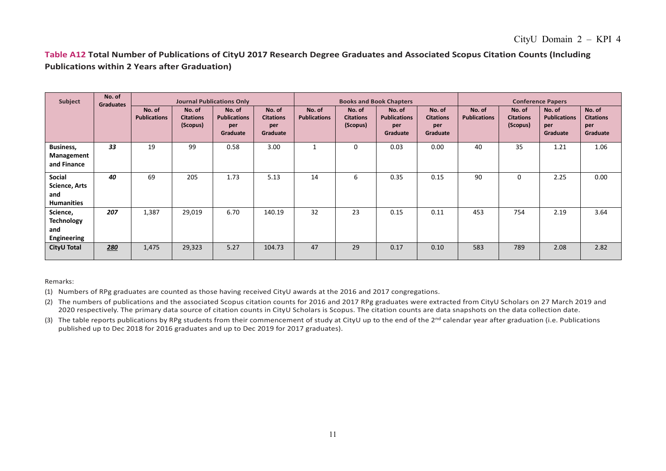### **Table A12 Total Number of Publications of CityU 2017 Research Degree Graduates and Associated Scopus Citation Counts (Including Publications within 2 Years after Graduation)**

| Subject                                                    | No. of<br><b>Graduates</b> |                               |                                        | <b>Journal Publications Only</b>                 |                                               | <b>Books and Book Chapters</b> |                                        |                                                  |                                               | <b>Conference Papers</b>      |                                        |                                                  |                                               |
|------------------------------------------------------------|----------------------------|-------------------------------|----------------------------------------|--------------------------------------------------|-----------------------------------------------|--------------------------------|----------------------------------------|--------------------------------------------------|-----------------------------------------------|-------------------------------|----------------------------------------|--------------------------------------------------|-----------------------------------------------|
|                                                            |                            | No. of<br><b>Publications</b> | No. of<br><b>Citations</b><br>(Scopus) | No. of<br><b>Publications</b><br>per<br>Graduate | No. of<br><b>Citations</b><br>per<br>Graduate | No. of<br><b>Publications</b>  | No. of<br><b>Citations</b><br>(Scopus) | No. of<br><b>Publications</b><br>per<br>Graduate | No. of<br><b>Citations</b><br>per<br>Graduate | No. of<br><b>Publications</b> | No. of<br><b>Citations</b><br>(Scopus) | No. of<br><b>Publications</b><br>per<br>Graduate | No. of<br><b>Citations</b><br>per<br>Graduate |
| Business,<br>Management<br>and Finance                     | 33                         | 19                            | 99                                     | 0.58                                             | 3.00                                          |                                | 0                                      | 0.03                                             | 0.00                                          | 40                            | 35                                     | 1.21                                             | 1.06                                          |
| Social<br><b>Science, Arts</b><br>and<br><b>Humanities</b> | 40                         | 69                            | 205                                    | 1.73                                             | 5.13                                          | 14                             | 6                                      | 0.35                                             | 0.15                                          | 90                            | 0                                      | 2.25                                             | 0.00                                          |
| Science,<br><b>Technology</b><br>and<br>Engineering        | 207                        | 1,387                         | 29,019                                 | 6.70                                             | 140.19                                        | 32                             | 23                                     | 0.15                                             | 0.11                                          | 453                           | 754                                    | 2.19                                             | 3.64                                          |
| <b>CityU Total</b>                                         | 280                        | 1,475                         | 29,323                                 | 5.27                                             | 104.73                                        | 47                             | 29                                     | 0.17                                             | 0.10                                          | 583                           | 789                                    | 2.08                                             | 2.82                                          |

Remarks:

(1) Numbers of RPg graduates are counted as those having received CityU awards at the 2016 and 2017 congregations.

(2) The numbers of publications and the associated Scopus citation counts for 2016 and 2017 RPg graduates were extracted from CityU Scholars on 27 March 2019 and 2020 respectively. The primary data source of citation counts in CityU Scholars is Scopus. The citation counts are data snapshots on the data collection date.

(3) The table reports publications by RPg students from their commencement of study at CityU up to the end of the 2<sup>nd</sup> calendar year after graduation (i.e. Publications published up to Dec 2018 for 2016 graduates and up to Dec 2019 for 2017 graduates).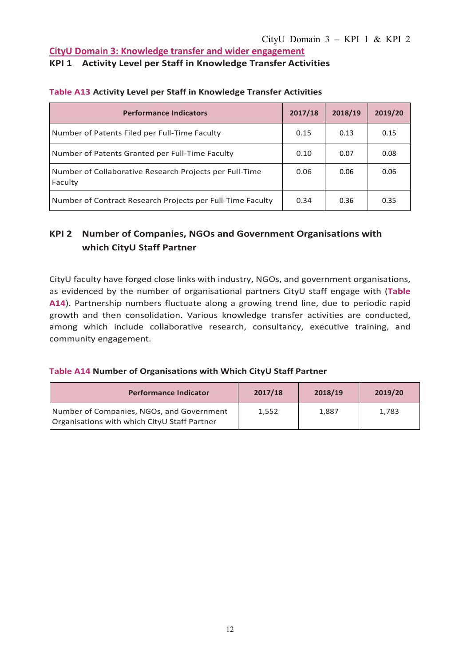# **CityU Domain 3: Knowledge transfer and wider engagement**

#### **KPI 1 Activity Level per Staff in Knowledge Transfer Activities**

| <b>Performance Indicators</b>                                      | 2017/18 | 2018/19 | 2019/20 |
|--------------------------------------------------------------------|---------|---------|---------|
| Number of Patents Filed per Full-Time Faculty                      | 0.15    | 0.13    | 0.15    |
| Number of Patents Granted per Full-Time Faculty                    | 0.10    | 0.07    | 0.08    |
| Number of Collaborative Research Projects per Full-Time<br>Faculty | 0.06    | 0.06    | 0.06    |
| Number of Contract Research Projects per Full-Time Faculty         | 0.34    | 0.36    | 0.35    |

#### **Table A13 Activity Level per Staff in Knowledge Transfer Activities**

# **KPI 2 Number of Companies, NGOs and Government Organisations with which CityU Staff Partner**

CityU faculty have forged close links with industry, NGOs, and government organisations, as evidenced by the number of organisational partners CityU staff engage with (**Table A14**). Partnership numbers fluctuate along a growing trend line, due to periodic rapid growth and then consolidation. Various knowledge transfer activities are conducted, among which include collaborative research, consultancy, executive training, and community engagement.

#### **Table A14 Number of Organisations with Which CityU Staff Partner**

| <b>Performance Indicator</b>                                                              | 2017/18 | 2018/19 | 2019/20 |
|-------------------------------------------------------------------------------------------|---------|---------|---------|
| Number of Companies, NGOs, and Government<br>Organisations with which CityU Staff Partner | 1,552   | 1,887   | 1.783   |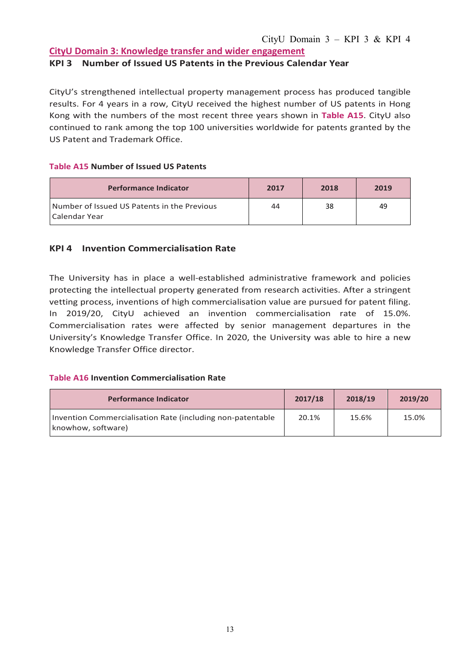## **CityU Domain 3: Knowledge transfer and wider engagement**

#### **KPI 3 Number of Issued US Patents in the Previous Calendar Year**

CityU's strengthened intellectual property management process has produced tangible results. For 4 years in a row, CityU received the highest number of US patents in Hong Kong with the numbers of the most recent three years shown in **Table A15**. CityU also continued to rank among the top 100 universities worldwide for patents granted by the US Patent and Trademark Office.

#### **Table A15 Number of Issued US Patents**

| <b>Performance Indicator</b>                                 | 2017 | 2018 | 2019 |
|--------------------------------------------------------------|------|------|------|
| Number of Issued US Patents in the Previous<br>Calendar Year | 44   | -38  | 49   |

### **KPI 4 Invention Commercialisation Rate**

The University has in place a well-established administrative framework and policies protecting the intellectual property generated from research activities. After a stringent vetting process, inventions of high commercialisation value are pursued for patent filing. In 2019/20, CityU achieved an invention commercialisation rate of 15.0%. Commercialisation rates were affected by senior management departures in the University's Knowledge Transfer Office. In 2020, the University was able to hire a new Knowledge Transfer Office director.

#### **Table A16 Invention Commercialisation Rate**

| <b>Performance Indicator</b>                                                     | 2017/18 | 2018/19 | 2019/20 |
|----------------------------------------------------------------------------------|---------|---------|---------|
| Invention Commercialisation Rate (including non-patentable<br>knowhow, software) | 20.1%   | 15.6%   | 15.0%   |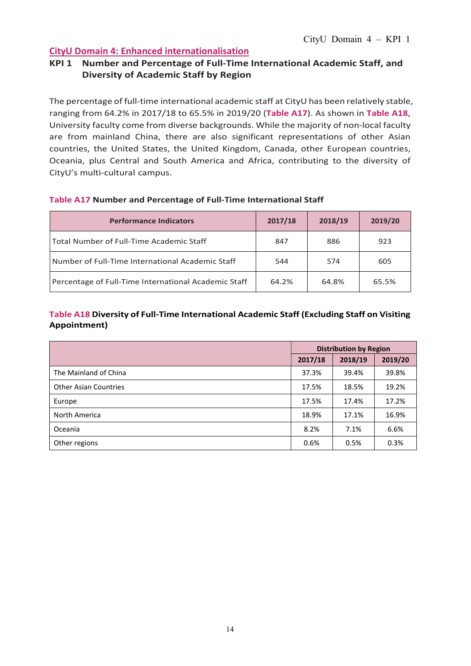## **KPI 1 Number and Percentage of Full-Time International Academic Staff, and Diversity of Academic Staff by Region**

The percentage of full-time international academic staff at CityU has been relatively stable, ranging from 64.2% in 2017/18 to 65.5% in 2019/20 (**Table A17**). As shown in **Table A18**, University faculty come from diverse backgrounds. While the majority of non-local faculty are from mainland China, there are also significant representations of other Asian countries, the United States, the United Kingdom, Canada, other European countries, Oceania, plus Central and South America and Africa, contributing to the diversity of CityU's multi-cultural campus.

| <b>Performance Indicators</b>                        | 2017/18 | 2018/19 | 2019/20 |
|------------------------------------------------------|---------|---------|---------|
| Total Number of Full-Time Academic Staff             | 847     | 886     | 923     |
| Number of Full-Time International Academic Staff     | 544     | 574     | 605     |
| Percentage of Full-Time International Academic Staff | 64.2%   | 64.8%   | 65.5%   |

### **Table A17 Number and Percentage of Full-Time International Staff**

## **Table A18 Diversity of Full-Time International Academic Staff (Excluding Staff on Visiting Appointment)**

|                              |         | <b>Distribution by Region</b> |         |
|------------------------------|---------|-------------------------------|---------|
|                              | 2017/18 | 2018/19                       | 2019/20 |
| The Mainland of China        | 37.3%   | 39.4%                         | 39.8%   |
| <b>Other Asian Countries</b> | 17.5%   | 18.5%                         | 19.2%   |
| Europe                       | 17.5%   | 17.4%                         | 17.2%   |
| North America                | 18.9%   | 17.1%                         | 16.9%   |
| Oceania                      | 8.2%    | 7.1%                          | 6.6%    |
| Other regions                | 0.6%    | 0.5%                          | 0.3%    |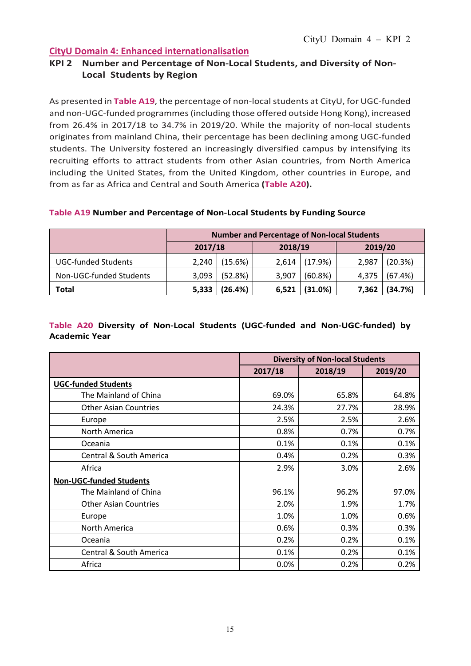## **KPI 2 Number and Percentage of Non-Local Students, and Diversity of Non-Local Students by Region**

As presented in **Table A19**, the percentage of non-local students at CityU, for UGC-funded and non-UGC-funded programmes(including those offered outside Hong Kong), increased from 26.4% in 2017/18 to 34.7% in 2019/20. While the majority of non-local students originates from mainland China, their percentage has been declining among UGC-funded students. The University fostered an increasingly diversified campus by intensifying its recruiting efforts to attract students from other Asian countries, from North America including the United States, from the United Kingdom, other countries in Europe, and from as far as Africa and Central and South America **(Table A20).**

#### **Table A19 Number and Percentage of Non-Local Students by Funding Source**

|                            | <b>Number and Percentage of Non-local Students</b> |                    |       |         |         |         |
|----------------------------|----------------------------------------------------|--------------------|-------|---------|---------|---------|
|                            |                                                    | 2018/19<br>2017/18 |       |         | 2019/20 |         |
| <b>UGC-funded Students</b> | 2.240                                              | (15.6%)            | 2,614 | (17.9%) | 2,987   | (20.3%) |
| Non-UGC-funded Students    | 3,093                                              | (52.8%)            | 3,907 | (60.8%) | 4,375   | (67.4%) |
| <b>Total</b>               | 5,333                                              | (26.4%)            | 6,521 | (31.0%) | 7,362   | (34.7%) |

#### **Table A20 Diversity of Non-Local Students (UGC-funded and Non-UGC-funded) by Academic Year**

|                                    | <b>Diversity of Non-local Students</b> |         |         |  |
|------------------------------------|----------------------------------------|---------|---------|--|
|                                    | 2017/18                                | 2018/19 | 2019/20 |  |
| <b>UGC-funded Students</b>         |                                        |         |         |  |
| The Mainland of China              | 69.0%                                  | 65.8%   | 64.8%   |  |
| <b>Other Asian Countries</b>       | 24.3%                                  | 27.7%   | 28.9%   |  |
| Europe                             | 2.5%                                   | 2.5%    | 2.6%    |  |
| North America                      | 0.8%                                   | 0.7%    | 0.7%    |  |
| Oceania                            | 0.1%                                   | 0.1%    | 0.1%    |  |
| <b>Central &amp; South America</b> | 0.4%                                   | 0.2%    | 0.3%    |  |
| Africa                             | 2.9%                                   | 3.0%    | 2.6%    |  |
| <b>Non-UGC-funded Students</b>     |                                        |         |         |  |
| The Mainland of China              | 96.1%                                  | 96.2%   | 97.0%   |  |
| <b>Other Asian Countries</b>       | 2.0%                                   | 1.9%    | 1.7%    |  |
| Europe                             | 1.0%                                   | 1.0%    | 0.6%    |  |
| North America                      | 0.6%                                   | 0.3%    | 0.3%    |  |
| Oceania                            | 0.2%                                   | 0.2%    | 0.1%    |  |
| <b>Central &amp; South America</b> | 0.1%                                   | 0.2%    | 0.1%    |  |
| Africa                             | 0.0%                                   | 0.2%    | 0.2%    |  |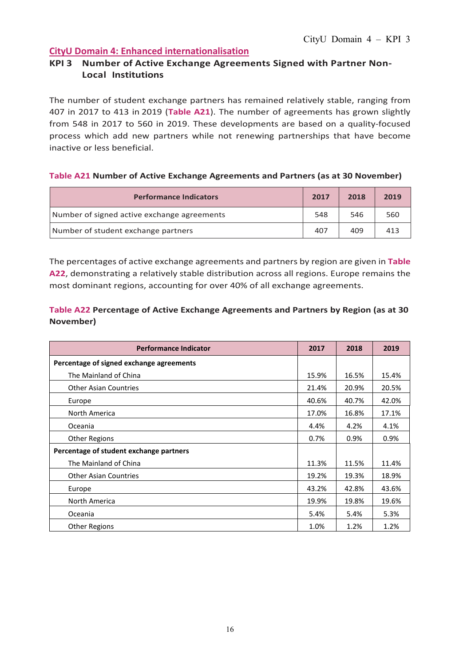### **KPI 3 Number of Active Exchange Agreements Signed with Partner Non-Local Institutions**

The number of student exchange partners has remained relatively stable, ranging from 407 in 2017 to 413 in 2019 (**Table A21**). The number of agreements has grown slightly from 548 in 2017 to 560 in 2019. These developments are based on a quality-focused process which add new partners while not renewing partnerships that have become inactive or less beneficial.

#### **Table A21 Number of Active Exchange Agreements and Partners (as at 30 November)**

| <b>Performance Indicators</b>               | 2017 | 2018 | 2019 |
|---------------------------------------------|------|------|------|
| Number of signed active exchange agreements | 548  | 546  | 560  |
| Number of student exchange partners         | 407  | 409  | 413  |

The percentages of active exchange agreements and partners by region are given in **Table A22**, demonstrating a relatively stable distribution across all regions. Europe remains the most dominant regions, accounting for over 40% of all exchange agreements.

### **Table A22 Percentage of Active Exchange Agreements and Partners by Region (as at 30 November)**

| <b>Performance Indicator</b>             | 2017  | 2018  | 2019  |
|------------------------------------------|-------|-------|-------|
| Percentage of signed exchange agreements |       |       |       |
| The Mainland of China                    | 15.9% | 16.5% | 15.4% |
| <b>Other Asian Countries</b>             | 21.4% | 20.9% | 20.5% |
| Europe                                   | 40.6% | 40.7% | 42.0% |
| North America                            | 17.0% | 16.8% | 17.1% |
| Oceania                                  | 4.4%  | 4.2%  | 4.1%  |
| <b>Other Regions</b>                     | 0.7%  | 0.9%  | 0.9%  |
| Percentage of student exchange partners  |       |       |       |
| The Mainland of China                    | 11.3% | 11.5% | 11.4% |
| <b>Other Asian Countries</b>             | 19.2% | 19.3% | 18.9% |
| Europe                                   | 43.2% | 42.8% | 43.6% |
| North America                            | 19.9% | 19.8% | 19.6% |
| Oceania                                  | 5.4%  | 5.4%  | 5.3%  |
| <b>Other Regions</b>                     | 1.0%  | 1.2%  | 1.2%  |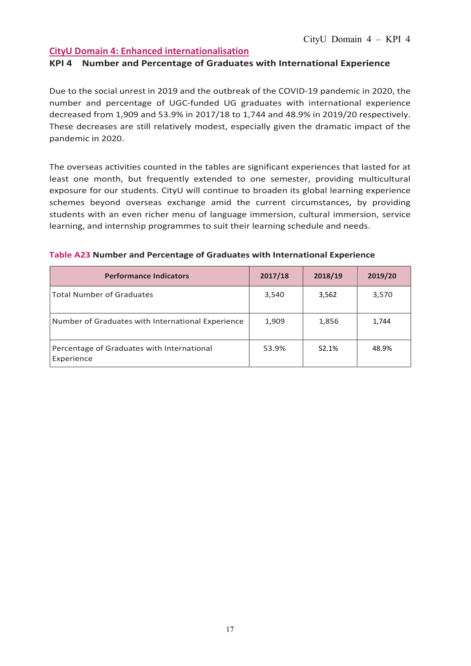### **KPI 4 Number and Percentage of Graduates with International Experience**

Due to the social unrest in 2019 and the outbreak of the COVID-19 pandemic in 2020, the number and percentage of UGC-funded UG graduates with international experience decreased from 1,909 and 53.9% in 2017/18 to 1,744 and 48.9% in 2019/20 respectively. These decreases are still relatively modest, especially given the dramatic impact of the pandemic in 2020.

The overseas activities counted in the tables are significant experiences that lasted for at least one month, but frequently extended to one semester, providing multicultural exposure for our students. CityU will continue to broaden its global learning experience schemes beyond overseas exchange amid the current circumstances, by providing students with an even richer menu of language immersion, cultural immersion, service learning, and internship programmes to suit their learning schedule and needs.

| <b>Performance Indicators</b>                            | 2017/18 | 2018/19 | 2019/20 |
|----------------------------------------------------------|---------|---------|---------|
| Total Number of Graduates                                | 3,540   | 3,562   | 3,570   |
| Number of Graduates with International Experience        | 1,909   | 1,856   | 1,744   |
| Percentage of Graduates with International<br>Experience | 53.9%   | 52.1%   | 48.9%   |

#### **Table A23 Number and Percentage of Graduates with International Experience**